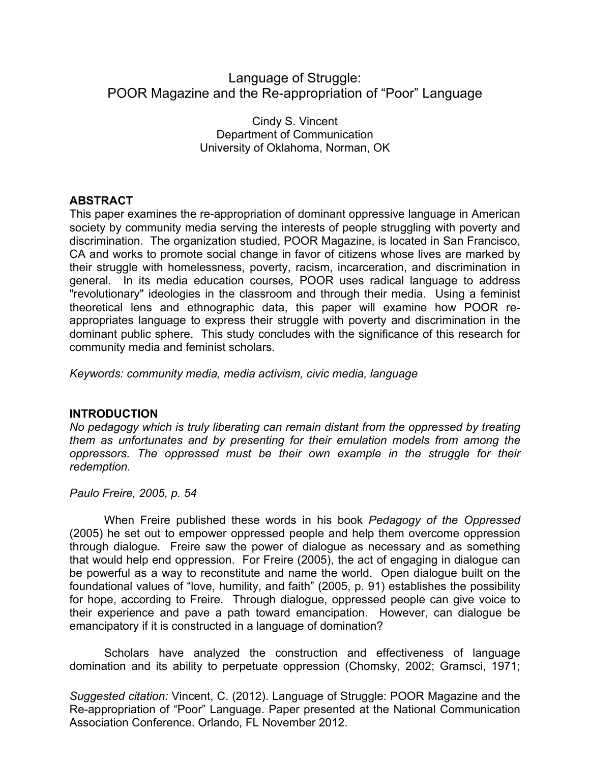# Language of Struggle: POOR Magazine and the Re-appropriation of "Poor" Language

Cindy S. Vincent Department of Communication University of Oklahoma, Norman, OK

### **ABSTRACT**

This paper examines the re-appropriation of dominant oppressive language in American society by community media serving the interests of people struggling with poverty and discrimination. The organization studied, POOR Magazine, is located in San Francisco, CA and works to promote social change in favor of citizens whose lives are marked by their struggle with homelessness, poverty, racism, incarceration, and discrimination in general. In its media education courses, POOR uses radical language to address "revolutionary" ideologies in the classroom and through their media. Using a feminist theoretical lens and ethnographic data, this paper will examine how POOR reappropriates language to express their struggle with poverty and discrimination in the dominant public sphere. This study concludes with the significance of this research for community media and feminist scholars.

*Keywords: community media, media activism, civic media, language*

#### **INTRODUCTION**

*No pedagogy which is truly liberating can remain distant from the oppressed by treating them as unfortunates and by presenting for their emulation models from among the oppressors. The oppressed must be their own example in the struggle for their redemption.*

*Paulo Freire, 2005, p. 54*

When Freire published these words in his book *Pedagogy of the Oppressed* (2005) he set out to empower oppressed people and help them overcome oppression through dialogue. Freire saw the power of dialogue as necessary and as something that would help end oppression. For Freire (2005), the act of engaging in dialogue can be powerful as a way to reconstitute and name the world. Open dialogue built on the foundational values of "love, humility, and faith" (2005, p. 91) establishes the possibility for hope, according to Freire. Through dialogue, oppressed people can give voice to their experience and pave a path toward emancipation. However, can dialogue be emancipatory if it is constructed in a language of domination?

Scholars have analyzed the construction and effectiveness of language domination and its ability to perpetuate oppression (Chomsky, 2002; Gramsci, 1971;

*Suggested citation:* Vincent, C. (2012). Language of Struggle: POOR Magazine and the Re-appropriation of "Poor" Language. Paper presented at the National Communication Association Conference. Orlando, FL November 2012.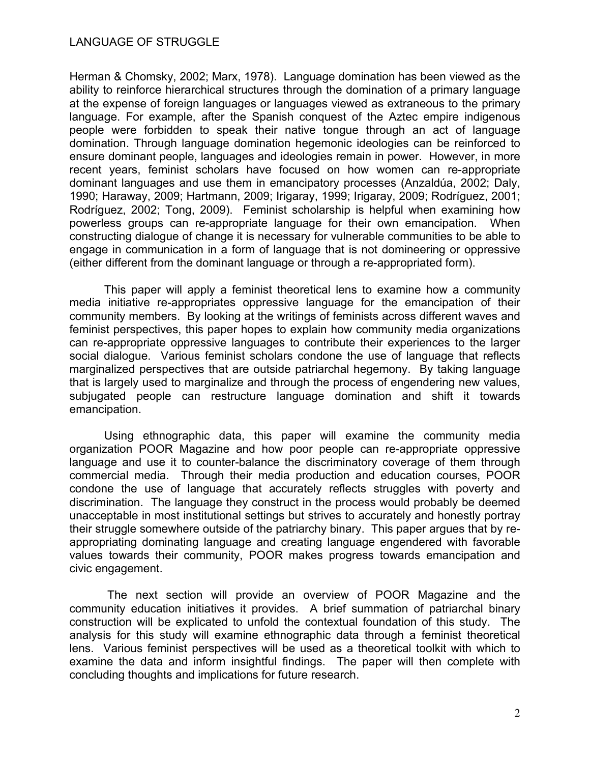Herman & Chomsky, 2002; Marx, 1978). Language domination has been viewed as the ability to reinforce hierarchical structures through the domination of a primary language at the expense of foreign languages or languages viewed as extraneous to the primary language. For example, after the Spanish conquest of the Aztec empire indigenous people were forbidden to speak their native tongue through an act of language domination. Through language domination hegemonic ideologies can be reinforced to ensure dominant people, languages and ideologies remain in power. However, in more recent years, feminist scholars have focused on how women can re-appropriate dominant languages and use them in emancipatory processes (Anzaldúa, 2002; Daly, 1990; Haraway, 2009; Hartmann, 2009; Irigaray, 1999; Irigaray, 2009; Rodríguez, 2001; Rodríguez, 2002; Tong, 2009). Feminist scholarship is helpful when examining how powerless groups can re-appropriate language for their own emancipation. When constructing dialogue of change it is necessary for vulnerable communities to be able to engage in communication in a form of language that is not domineering or oppressive (either different from the dominant language or through a re-appropriated form).

This paper will apply a feminist theoretical lens to examine how a community media initiative re-appropriates oppressive language for the emancipation of their community members. By looking at the writings of feminists across different waves and feminist perspectives, this paper hopes to explain how community media organizations can re-appropriate oppressive languages to contribute their experiences to the larger social dialogue. Various feminist scholars condone the use of language that reflects marginalized perspectives that are outside patriarchal hegemony. By taking language that is largely used to marginalize and through the process of engendering new values, subjugated people can restructure language domination and shift it towards emancipation.

Using ethnographic data, this paper will examine the community media organization POOR Magazine and how poor people can re-appropriate oppressive language and use it to counter-balance the discriminatory coverage of them through commercial media. Through their media production and education courses, POOR condone the use of language that accurately reflects struggles with poverty and discrimination. The language they construct in the process would probably be deemed unacceptable in most institutional settings but strives to accurately and honestly portray their struggle somewhere outside of the patriarchy binary. This paper argues that by reappropriating dominating language and creating language engendered with favorable values towards their community, POOR makes progress towards emancipation and civic engagement.

The next section will provide an overview of POOR Magazine and the community education initiatives it provides. A brief summation of patriarchal binary construction will be explicated to unfold the contextual foundation of this study. The analysis for this study will examine ethnographic data through a feminist theoretical lens. Various feminist perspectives will be used as a theoretical toolkit with which to examine the data and inform insightful findings. The paper will then complete with concluding thoughts and implications for future research.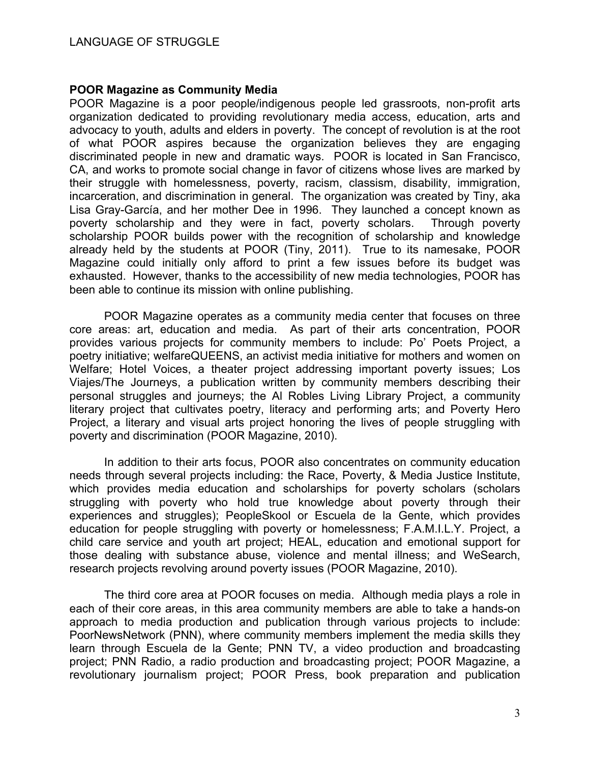#### **POOR Magazine as Community Media**

POOR Magazine is a poor people/indigenous people led grassroots, non-profit arts organization dedicated to providing revolutionary media access, education, arts and advocacy to youth, adults and elders in poverty. The concept of revolution is at the root of what POOR aspires because the organization believes they are engaging discriminated people in new and dramatic ways. POOR is located in San Francisco, CA, and works to promote social change in favor of citizens whose lives are marked by their struggle with homelessness, poverty, racism, classism, disability, immigration, incarceration, and discrimination in general. The organization was created by Tiny, aka Lisa Gray-García, and her mother Dee in 1996. They launched a concept known as poverty scholarship and they were in fact, poverty scholars. Through poverty scholarship POOR builds power with the recognition of scholarship and knowledge already held by the students at POOR (Tiny, 2011). True to its namesake, POOR Magazine could initially only afford to print a few issues before its budget was exhausted. However, thanks to the accessibility of new media technologies, POOR has been able to continue its mission with online publishing.

POOR Magazine operates as a community media center that focuses on three core areas: art, education and media. As part of their arts concentration, POOR provides various projects for community members to include: Po' Poets Project, a poetry initiative; welfareQUEENS, an activist media initiative for mothers and women on Welfare; Hotel Voices, a theater project addressing important poverty issues; Los Viajes/The Journeys, a publication written by community members describing their personal struggles and journeys; the Al Robles Living Library Project, a community literary project that cultivates poetry, literacy and performing arts; and Poverty Hero Proiect, a literary and visual arts project honoring the lives of people struggling with poverty and discrimination (POOR Magazine, 2010).

In addition to their arts focus, POOR also concentrates on community education needs through several projects including: the Race, Poverty, & Media Justice Institute, which provides media education and scholarships for poverty scholars (scholars struggling with poverty who hold true knowledge about poverty through their experiences and struggles); PeopleSkool or Escuela de la Gente, which provides education for people struggling with poverty or homelessness; F.A.M.I.L.Y. Project, a child care service and youth art project; HEAL, education and emotional support for those dealing with substance abuse, violence and mental illness; and WeSearch, research projects revolving around poverty issues (POOR Magazine, 2010).

The third core area at POOR focuses on media. Although media plays a role in each of their core areas, in this area community members are able to take a hands-on approach to media production and publication through various projects to include: PoorNewsNetwork (PNN), where community members implement the media skills they learn through Escuela de la Gente; PNN TV, a video production and broadcasting project; PNN Radio, a radio production and broadcasting project; POOR Magazine, a revolutionary journalism project; POOR Press, book preparation and publication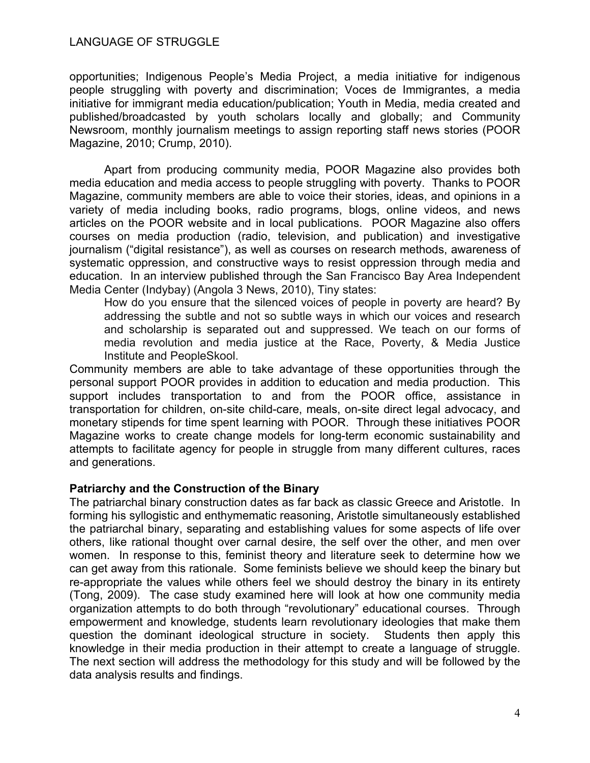opportunities; Indigenous People's Media Project, a media initiative for indigenous people struggling with poverty and discrimination; Voces de Immigrantes, a media initiative for immigrant media education/publication; Youth in Media, media created and published/broadcasted by youth scholars locally and globally; and Community Newsroom, monthly journalism meetings to assign reporting staff news stories (POOR Magazine, 2010; Crump, 2010).

Apart from producing community media, POOR Magazine also provides both media education and media access to people struggling with poverty. Thanks to POOR Magazine, community members are able to voice their stories, ideas, and opinions in a variety of media including books, radio programs, blogs, online videos, and news articles on the POOR website and in local publications. POOR Magazine also offers courses on media production (radio, television, and publication) and investigative journalism ("digital resistance"), as well as courses on research methods, awareness of systematic oppression, and constructive ways to resist oppression through media and education. In an interview published through the San Francisco Bay Area Independent Media Center (Indybay) (Angola 3 News, 2010), Tiny states:

How do you ensure that the silenced voices of people in poverty are heard? By addressing the subtle and not so subtle ways in which our voices and research and scholarship is separated out and suppressed. We teach on our forms of media revolution and media justice at the Race, Poverty, & Media Justice Institute and PeopleSkool.

Community members are able to take advantage of these opportunities through the personal support POOR provides in addition to education and media production. This support includes transportation to and from the POOR office, assistance in transportation for children, on-site child-care, meals, on-site direct legal advocacy, and monetary stipends for time spent learning with POOR. Through these initiatives POOR Magazine works to create change models for long-term economic sustainability and attempts to facilitate agency for people in struggle from many different cultures, races and generations.

## **Patriarchy and the Construction of the Binary**

The patriarchal binary construction dates as far back as classic Greece and Aristotle. In forming his syllogistic and enthymematic reasoning, Aristotle simultaneously established the patriarchal binary, separating and establishing values for some aspects of life over others, like rational thought over carnal desire, the self over the other, and men over women. In response to this, feminist theory and literature seek to determine how we can get away from this rationale. Some feminists believe we should keep the binary but re-appropriate the values while others feel we should destroy the binary in its entirety (Tong, 2009). The case study examined here will look at how one community media organization attempts to do both through "revolutionary" educational courses. Through empowerment and knowledge, students learn revolutionary ideologies that make them question the dominant ideological structure in society. Students then apply this knowledge in their media production in their attempt to create a language of struggle. The next section will address the methodology for this study and will be followed by the data analysis results and findings.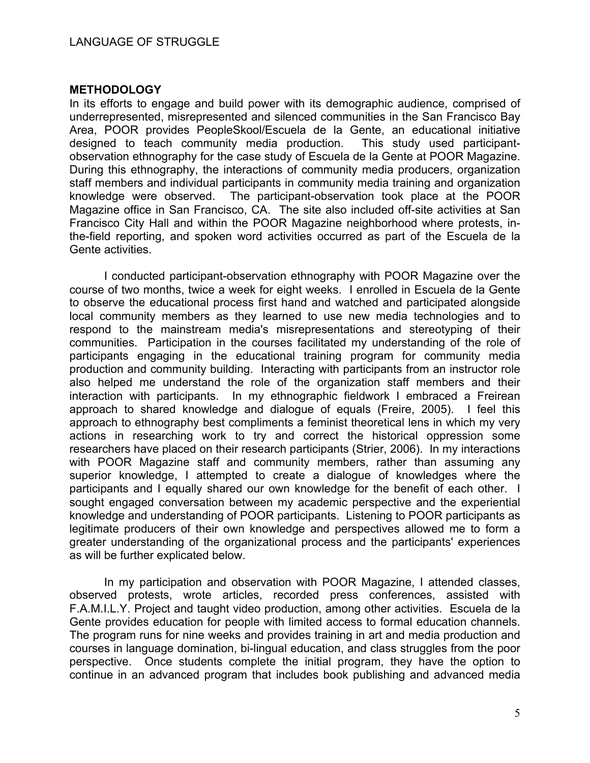#### **METHODOLOGY**

In its efforts to engage and build power with its demographic audience, comprised of underrepresented, misrepresented and silenced communities in the San Francisco Bay Area, POOR provides PeopleSkool/Escuela de la Gente, an educational initiative designed to teach community media production. This study used participantobservation ethnography for the case study of Escuela de la Gente at POOR Magazine. During this ethnography, the interactions of community media producers, organization staff members and individual participants in community media training and organization knowledge were observed. The participant-observation took place at the POOR Magazine office in San Francisco, CA. The site also included off-site activities at San Francisco City Hall and within the POOR Magazine neighborhood where protests, inthe-field reporting, and spoken word activities occurred as part of the Escuela de la Gente activities.

I conducted participant-observation ethnography with POOR Magazine over the course of two months, twice a week for eight weeks. I enrolled in Escuela de la Gente to observe the educational process first hand and watched and participated alongside local community members as they learned to use new media technologies and to respond to the mainstream media's misrepresentations and stereotyping of their communities. Participation in the courses facilitated my understanding of the role of participants engaging in the educational training program for community media production and community building. Interacting with participants from an instructor role also helped me understand the role of the organization staff members and their interaction with participants. In my ethnographic fieldwork I embraced a Freirean approach to shared knowledge and dialogue of equals (Freire, 2005). I feel this approach to ethnography best compliments a feminist theoretical lens in which my very actions in researching work to try and correct the historical oppression some researchers have placed on their research participants (Strier, 2006). In my interactions with POOR Magazine staff and community members, rather than assuming any superior knowledge, I attempted to create a dialogue of knowledges where the participants and I equally shared our own knowledge for the benefit of each other. I sought engaged conversation between my academic perspective and the experiential knowledge and understanding of POOR participants. Listening to POOR participants as legitimate producers of their own knowledge and perspectives allowed me to form a greater understanding of the organizational process and the participants' experiences as will be further explicated below.

In my participation and observation with POOR Magazine, I attended classes, observed protests, wrote articles, recorded press conferences, assisted with F.A.M.I.L.Y. Project and taught video production, among other activities. Escuela de la Gente provides education for people with limited access to formal education channels. The program runs for nine weeks and provides training in art and media production and courses in language domination, bi-lingual education, and class struggles from the poor perspective. Once students complete the initial program, they have the option to continue in an advanced program that includes book publishing and advanced media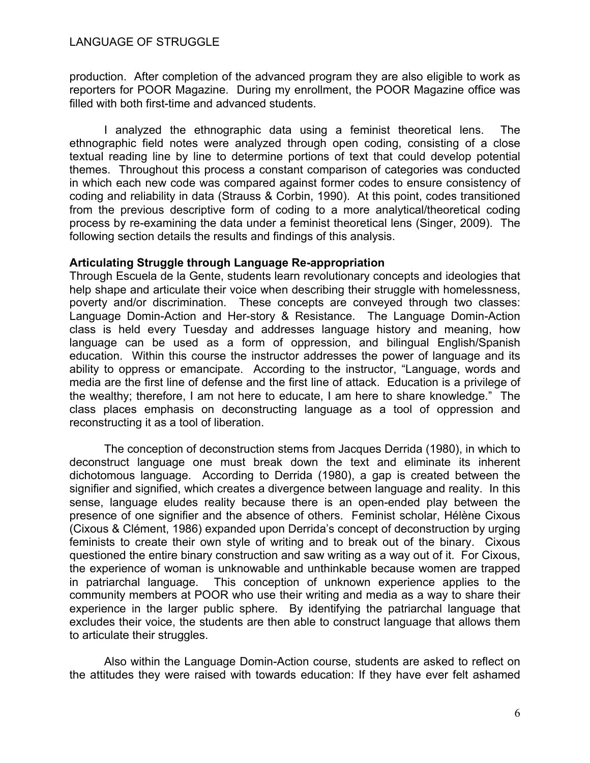production. After completion of the advanced program they are also eligible to work as reporters for POOR Magazine. During my enrollment, the POOR Magazine office was filled with both first-time and advanced students.

I analyzed the ethnographic data using a feminist theoretical lens. The ethnographic field notes were analyzed through open coding, consisting of a close textual reading line by line to determine portions of text that could develop potential themes. Throughout this process a constant comparison of categories was conducted in which each new code was compared against former codes to ensure consistency of coding and reliability in data (Strauss & Corbin, 1990). At this point, codes transitioned from the previous descriptive form of coding to a more analytical/theoretical coding process by re-examining the data under a feminist theoretical lens (Singer, 2009). The following section details the results and findings of this analysis.

#### **Articulating Struggle through Language Re-appropriation**

Through Escuela de la Gente, students learn revolutionary concepts and ideologies that help shape and articulate their voice when describing their struggle with homelessness, poverty and/or discrimination. These concepts are conveyed through two classes: Language Domin-Action and Her-story & Resistance. The Language Domin-Action class is held every Tuesday and addresses language history and meaning, how language can be used as a form of oppression, and bilingual English/Spanish education. Within this course the instructor addresses the power of language and its ability to oppress or emancipate. According to the instructor, "Language, words and media are the first line of defense and the first line of attack. Education is a privilege of the wealthy; therefore, I am not here to educate, I am here to share knowledge." The class places emphasis on deconstructing language as a tool of oppression and reconstructing it as a tool of liberation.

The conception of deconstruction stems from Jacques Derrida (1980), in which to deconstruct language one must break down the text and eliminate its inherent dichotomous language. According to Derrida (1980), a gap is created between the signifier and signified, which creates a divergence between language and reality. In this sense, language eludes reality because there is an open-ended play between the presence of one signifier and the absence of others. Feminist scholar, Hélène Cixous (Cixous & Clément, 1986) expanded upon Derrida's concept of deconstruction by urging feminists to create their own style of writing and to break out of the binary. Cixous questioned the entire binary construction and saw writing as a way out of it. For Cixous, the experience of woman is unknowable and unthinkable because women are trapped in patriarchal language. This conception of unknown experience applies to the community members at POOR who use their writing and media as a way to share their experience in the larger public sphere. By identifying the patriarchal language that excludes their voice, the students are then able to construct language that allows them to articulate their struggles.

Also within the Language Domin-Action course, students are asked to reflect on the attitudes they were raised with towards education: If they have ever felt ashamed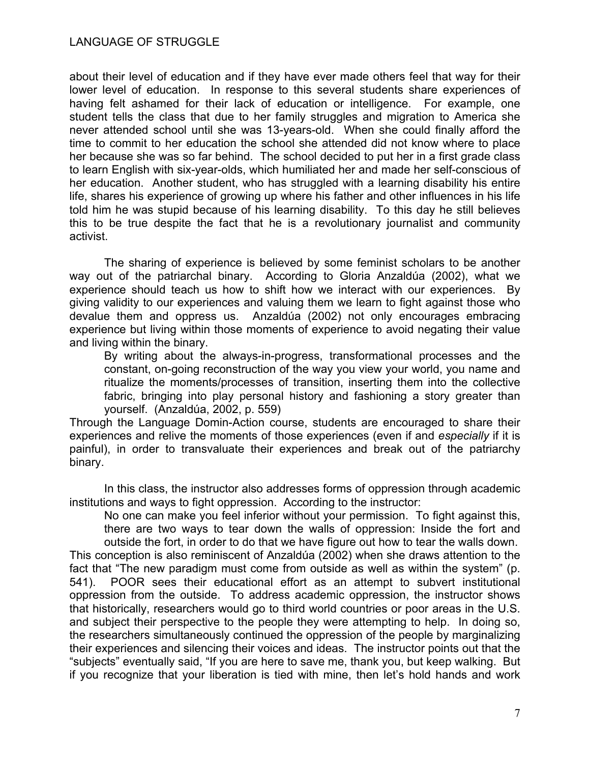about their level of education and if they have ever made others feel that way for their lower level of education. In response to this several students share experiences of having felt ashamed for their lack of education or intelligence. For example, one student tells the class that due to her family struggles and migration to America she never attended school until she was 13-years-old. When she could finally afford the time to commit to her education the school she attended did not know where to place her because she was so far behind. The school decided to put her in a first grade class to learn English with six-year-olds, which humiliated her and made her self-conscious of her education. Another student, who has struggled with a learning disability his entire life, shares his experience of growing up where his father and other influences in his life told him he was stupid because of his learning disability. To this day he still believes this to be true despite the fact that he is a revolutionary journalist and community activist.

The sharing of experience is believed by some feminist scholars to be another way out of the patriarchal binary. According to Gloria Anzaldúa (2002), what we experience should teach us how to shift how we interact with our experiences. By giving validity to our experiences and valuing them we learn to fight against those who devalue them and oppress us. Anzaldúa (2002) not only encourages embracing experience but living within those moments of experience to avoid negating their value and living within the binary.

By writing about the always-in-progress, transformational processes and the constant, on-going reconstruction of the way you view your world, you name and ritualize the moments/processes of transition, inserting them into the collective fabric, bringing into play personal history and fashioning a story greater than yourself. (Anzaldúa, 2002, p. 559)

Through the Language Domin-Action course, students are encouraged to share their experiences and relive the moments of those experiences (even if and *especially* if it is painful), in order to transvaluate their experiences and break out of the patriarchy binary.

In this class, the instructor also addresses forms of oppression through academic institutions and ways to fight oppression. According to the instructor:

No one can make you feel inferior without your permission. To fight against this, there are two ways to tear down the walls of oppression: Inside the fort and outside the fort, in order to do that we have figure out how to tear the walls down.

This conception is also reminiscent of Anzaldúa (2002) when she draws attention to the fact that "The new paradigm must come from outside as well as within the system" (p. 541). POOR sees their educational effort as an attempt to subvert institutional oppression from the outside. To address academic oppression, the instructor shows that historically, researchers would go to third world countries or poor areas in the U.S. and subject their perspective to the people they were attempting to help. In doing so, the researchers simultaneously continued the oppression of the people by marginalizing their experiences and silencing their voices and ideas. The instructor points out that the "subjects" eventually said, "If you are here to save me, thank you, but keep walking. But if you recognize that your liberation is tied with mine, then let's hold hands and work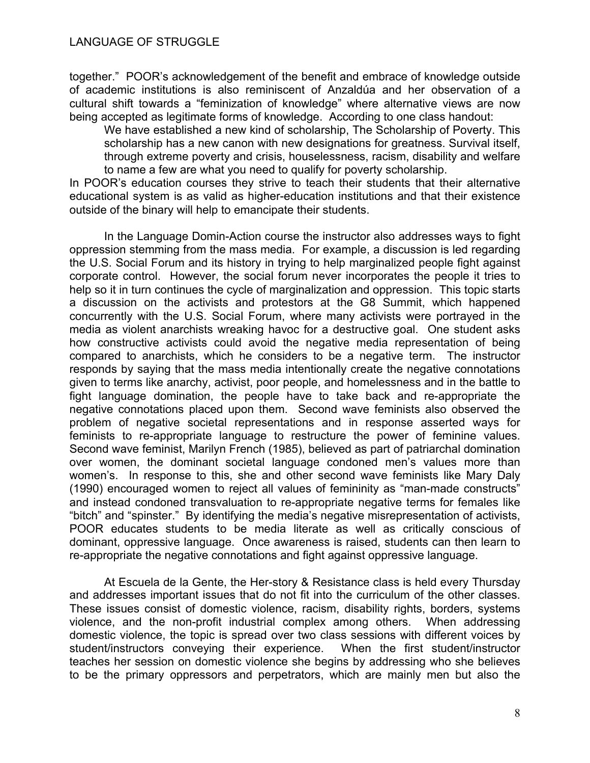together." POOR's acknowledgement of the benefit and embrace of knowledge outside of academic institutions is also reminiscent of Anzaldúa and her observation of a cultural shift towards a "feminization of knowledge" where alternative views are now being accepted as legitimate forms of knowledge. According to one class handout:

We have established a new kind of scholarship, The Scholarship of Poverty. This scholarship has a new canon with new designations for greatness. Survival itself, through extreme poverty and crisis, houselessness, racism, disability and welfare to name a few are what you need to qualify for poverty scholarship.

In POOR's education courses they strive to teach their students that their alternative educational system is as valid as higher-education institutions and that their existence outside of the binary will help to emancipate their students.

In the Language Domin-Action course the instructor also addresses ways to fight oppression stemming from the mass media. For example, a discussion is led regarding the U.S. Social Forum and its history in trying to help marginalized people fight against corporate control. However, the social forum never incorporates the people it tries to help so it in turn continues the cycle of marginalization and oppression. This topic starts a discussion on the activists and protestors at the G8 Summit, which happened concurrently with the U.S. Social Forum, where many activists were portrayed in the media as violent anarchists wreaking havoc for a destructive goal. One student asks how constructive activists could avoid the negative media representation of being compared to anarchists, which he considers to be a negative term. The instructor responds by saying that the mass media intentionally create the negative connotations given to terms like anarchy, activist, poor people, and homelessness and in the battle to fight language domination, the people have to take back and re-appropriate the negative connotations placed upon them. Second wave feminists also observed the problem of negative societal representations and in response asserted ways for feminists to re-appropriate language to restructure the power of feminine values. Second wave feminist, Marilyn French (1985), believed as part of patriarchal domination over women, the dominant societal language condoned men's values more than women's. In response to this, she and other second wave feminists like Mary Daly (1990) encouraged women to reject all values of femininity as "man-made constructs" and instead condoned transvaluation to re-appropriate negative terms for females like "bitch" and "spinster." By identifying the media's negative misrepresentation of activists, POOR educates students to be media literate as well as critically conscious of dominant, oppressive language. Once awareness is raised, students can then learn to re-appropriate the negative connotations and fight against oppressive language.

At Escuela de la Gente, the Her-story & Resistance class is held every Thursday and addresses important issues that do not fit into the curriculum of the other classes. These issues consist of domestic violence, racism, disability rights, borders, systems violence, and the non-profit industrial complex among others. When addressing domestic violence, the topic is spread over two class sessions with different voices by student/instructors conveying their experience. When the first student/instructor teaches her session on domestic violence she begins by addressing who she believes to be the primary oppressors and perpetrators, which are mainly men but also the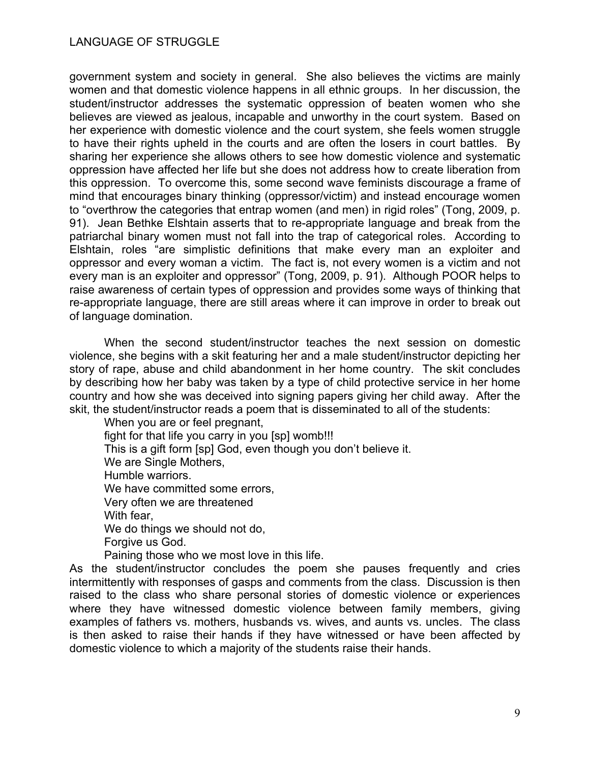government system and society in general. She also believes the victims are mainly women and that domestic violence happens in all ethnic groups. In her discussion, the student/instructor addresses the systematic oppression of beaten women who she believes are viewed as jealous, incapable and unworthy in the court system. Based on her experience with domestic violence and the court system, she feels women struggle to have their rights upheld in the courts and are often the losers in court battles. By sharing her experience she allows others to see how domestic violence and systematic oppression have affected her life but she does not address how to create liberation from this oppression. To overcome this, some second wave feminists discourage a frame of mind that encourages binary thinking (oppressor/victim) and instead encourage women to "overthrow the categories that entrap women (and men) in rigid roles" (Tong, 2009, p. 91). Jean Bethke Elshtain asserts that to re-appropriate language and break from the patriarchal binary women must not fall into the trap of categorical roles. According to Elshtain, roles "are simplistic definitions that make every man an exploiter and oppressor and every woman a victim. The fact is, not every women is a victim and not every man is an exploiter and oppressor" (Tong, 2009, p. 91). Although POOR helps to raise awareness of certain types of oppression and provides some ways of thinking that re-appropriate language, there are still areas where it can improve in order to break out of language domination.

When the second student/instructor teaches the next session on domestic violence, she begins with a skit featuring her and a male student/instructor depicting her story of rape, abuse and child abandonment in her home country. The skit concludes by describing how her baby was taken by a type of child protective service in her home country and how she was deceived into signing papers giving her child away. After the skit, the student/instructor reads a poem that is disseminated to all of the students:

When you are or feel pregnant, fight for that life you carry in you [sp] womb!!! This is a gift form [sp] God, even though you don't believe it. We are Single Mothers, Humble warriors. We have committed some errors, Very often we are threatened With fear, We do things we should not do, Forgive us God. Paining those who we most love in this life.

As the student/instructor concludes the poem she pauses frequently and cries intermittently with responses of gasps and comments from the class. Discussion is then raised to the class who share personal stories of domestic violence or experiences where they have witnessed domestic violence between family members, giving examples of fathers vs. mothers, husbands vs. wives, and aunts vs. uncles. The class is then asked to raise their hands if they have witnessed or have been affected by domestic violence to which a majority of the students raise their hands.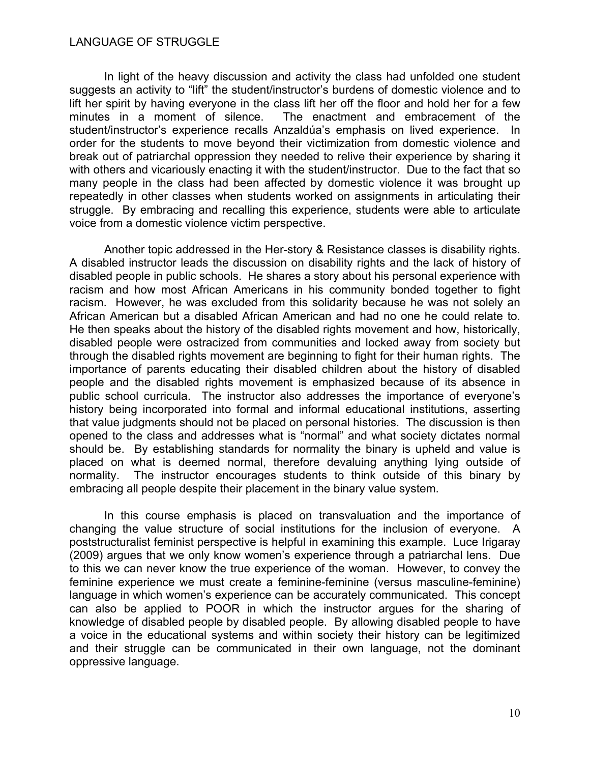In light of the heavy discussion and activity the class had unfolded one student suggests an activity to "lift" the student/instructor's burdens of domestic violence and to lift her spirit by having everyone in the class lift her off the floor and hold her for a few minutes in a moment of silence. The enactment and embracement of the student/instructor's experience recalls Anzaldúa's emphasis on lived experience. In order for the students to move beyond their victimization from domestic violence and break out of patriarchal oppression they needed to relive their experience by sharing it with others and vicariously enacting it with the student/instructor. Due to the fact that so many people in the class had been affected by domestic violence it was brought up repeatedly in other classes when students worked on assignments in articulating their struggle. By embracing and recalling this experience, students were able to articulate voice from a domestic violence victim perspective.

Another topic addressed in the Her-story & Resistance classes is disability rights. A disabled instructor leads the discussion on disability rights and the lack of history of disabled people in public schools. He shares a story about his personal experience with racism and how most African Americans in his community bonded together to fight racism. However, he was excluded from this solidarity because he was not solely an African American but a disabled African American and had no one he could relate to. He then speaks about the history of the disabled rights movement and how, historically, disabled people were ostracized from communities and locked away from society but through the disabled rights movement are beginning to fight for their human rights. The importance of parents educating their disabled children about the history of disabled people and the disabled rights movement is emphasized because of its absence in public school curricula. The instructor also addresses the importance of everyone's history being incorporated into formal and informal educational institutions, asserting that value judgments should not be placed on personal histories. The discussion is then opened to the class and addresses what is "normal" and what society dictates normal should be. By establishing standards for normality the binary is upheld and value is placed on what is deemed normal, therefore devaluing anything lying outside of normality. The instructor encourages students to think outside of this binary by embracing all people despite their placement in the binary value system.

In this course emphasis is placed on transvaluation and the importance of changing the value structure of social institutions for the inclusion of everyone. A poststructuralist feminist perspective is helpful in examining this example. Luce Irigaray (2009) argues that we only know women's experience through a patriarchal lens. Due to this we can never know the true experience of the woman. However, to convey the feminine experience we must create a feminine-feminine (versus masculine-feminine) language in which women's experience can be accurately communicated. This concept can also be applied to POOR in which the instructor argues for the sharing of knowledge of disabled people by disabled people. By allowing disabled people to have a voice in the educational systems and within society their history can be legitimized and their struggle can be communicated in their own language, not the dominant oppressive language.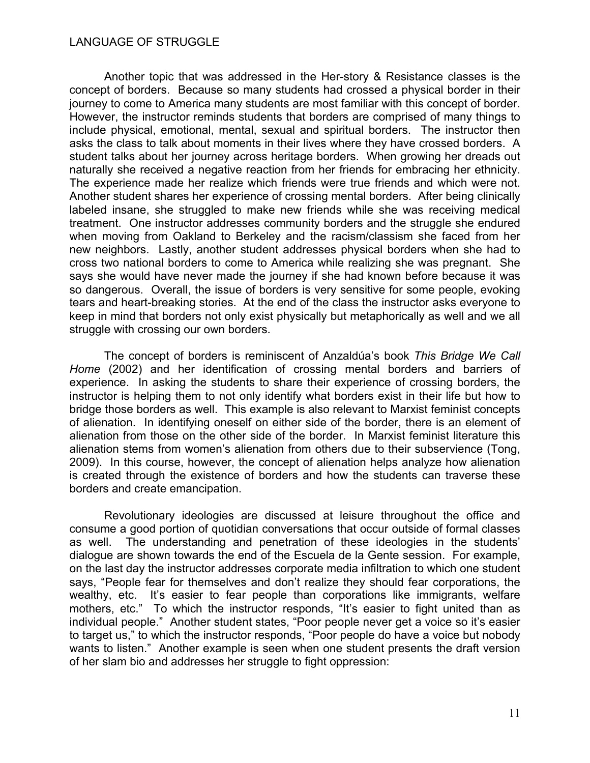Another topic that was addressed in the Her-story & Resistance classes is the concept of borders. Because so many students had crossed a physical border in their journey to come to America many students are most familiar with this concept of border. However, the instructor reminds students that borders are comprised of many things to include physical, emotional, mental, sexual and spiritual borders. The instructor then asks the class to talk about moments in their lives where they have crossed borders. A student talks about her journey across heritage borders. When growing her dreads out naturally she received a negative reaction from her friends for embracing her ethnicity. The experience made her realize which friends were true friends and which were not. Another student shares her experience of crossing mental borders. After being clinically labeled insane, she struggled to make new friends while she was receiving medical treatment. One instructor addresses community borders and the struggle she endured when moving from Oakland to Berkeley and the racism/classism she faced from her new neighbors. Lastly, another student addresses physical borders when she had to cross two national borders to come to America while realizing she was pregnant. She says she would have never made the journey if she had known before because it was so dangerous. Overall, the issue of borders is very sensitive for some people, evoking tears and heart-breaking stories. At the end of the class the instructor asks everyone to keep in mind that borders not only exist physically but metaphorically as well and we all struggle with crossing our own borders.

The concept of borders is reminiscent of Anzaldúa's book *This Bridge We Call Home* (2002) and her identification of crossing mental borders and barriers of experience. In asking the students to share their experience of crossing borders, the instructor is helping them to not only identify what borders exist in their life but how to bridge those borders as well. This example is also relevant to Marxist feminist concepts of alienation. In identifying oneself on either side of the border, there is an element of alienation from those on the other side of the border. In Marxist feminist literature this alienation stems from women's alienation from others due to their subservience (Tong, 2009). In this course, however, the concept of alienation helps analyze how alienation is created through the existence of borders and how the students can traverse these borders and create emancipation.

Revolutionary ideologies are discussed at leisure throughout the office and consume a good portion of quotidian conversations that occur outside of formal classes as well. The understanding and penetration of these ideologies in the students' dialogue are shown towards the end of the Escuela de la Gente session. For example, on the last day the instructor addresses corporate media infiltration to which one student says, "People fear for themselves and don't realize they should fear corporations, the wealthy, etc. It's easier to fear people than corporations like immigrants, welfare mothers, etc." To which the instructor responds, "It's easier to fight united than as individual people." Another student states, "Poor people never get a voice so it's easier to target us," to which the instructor responds, "Poor people do have a voice but nobody wants to listen." Another example is seen when one student presents the draft version of her slam bio and addresses her struggle to fight oppression: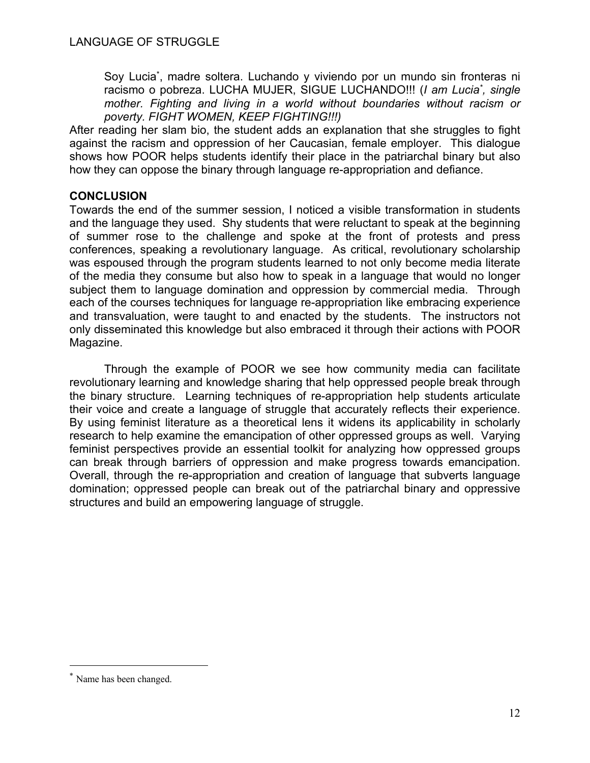Soy Lucia<sup>\*</sup>, madre soltera. Luchando y viviendo por un mundo sin fronteras ni racismo o pobreza. LUCHA MUJER, SIGUE LUCHANDO!!! (*I am Lucia\* , single mother. Fighting and living in a world without boundaries without racism or poverty. FIGHT WOMEN, KEEP FIGHTING!!!)*

After reading her slam bio, the student adds an explanation that she struggles to fight against the racism and oppression of her Caucasian, female employer. This dialogue shows how POOR helps students identify their place in the patriarchal binary but also how they can oppose the binary through language re-appropriation and defiance.

## **CONCLUSION**

Towards the end of the summer session, I noticed a visible transformation in students and the language they used. Shy students that were reluctant to speak at the beginning of summer rose to the challenge and spoke at the front of protests and press conferences, speaking a revolutionary language. As critical, revolutionary scholarship was espoused through the program students learned to not only become media literate of the media they consume but also how to speak in a language that would no longer subject them to language domination and oppression by commercial media. Through each of the courses techniques for language re-appropriation like embracing experience and transvaluation, were taught to and enacted by the students. The instructors not only disseminated this knowledge but also embraced it through their actions with POOR Magazine.

Through the example of POOR we see how community media can facilitate revolutionary learning and knowledge sharing that help oppressed people break through the binary structure. Learning techniques of re-appropriation help students articulate their voice and create a language of struggle that accurately reflects their experience. By using feminist literature as a theoretical lens it widens its applicability in scholarly research to help examine the emancipation of other oppressed groups as well. Varying feminist perspectives provide an essential toolkit for analyzing how oppressed groups can break through barriers of oppression and make progress towards emancipation. Overall, through the re-appropriation and creation of language that subverts language domination; oppressed people can break out of the patriarchal binary and oppressive structures and build an empowering language of struggle.

<sup>\*</sup> Name has been changed.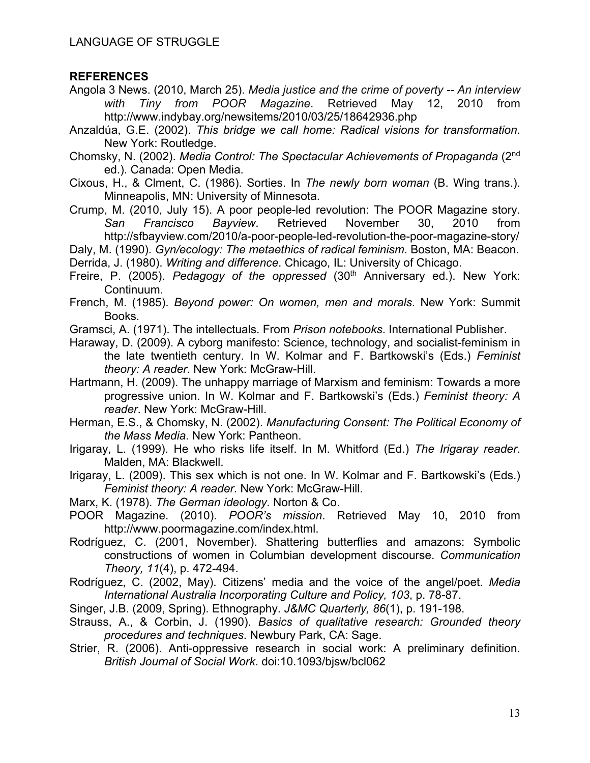## **REFERENCES**

- Angola 3 News. (2010, March 25). *Media justice and the crime of poverty -- An interview with Tiny from POOR Magazine*. Retrieved May 12, 2010 from http://www.indybay.org/newsitems/2010/03/25/18642936.php
- Anzaldúa, G.E. (2002). *This bridge we call home: Radical visions for transformation*. New York: Routledge.
- Chomsky, N. (2002). *Media Control: The Spectacular Achievements of Propaganda* (2nd ed.). Canada: Open Media.
- Cixous, H., & Clment, C. (1986). Sorties. In *The newly born woman* (B. Wing trans.). Minneapolis, MN: University of Minnesota.
- Crump, M. (2010, July 15). A poor people-led revolution: The POOR Magazine story. *San Francisco Bayview*. Retrieved November 30, 2010 from http://sfbayview.com/2010/a-poor-people-led-revolution-the-poor-magazine-story/
- Daly, M. (1990). *Gyn/ecology: The metaethics of radical feminism*. Boston, MA: Beacon.

Derrida, J. (1980). *Writing and difference*. Chicago, IL: University of Chicago.

- Freire, P. (2005). *Pedagogy of the oppressed* (30<sup>th</sup> Anniversary ed.). New York: Continuum.
- French, M. (1985). *Beyond power: On women, men and morals*. New York: Summit Books.
- Gramsci, A. (1971). The intellectuals. From *Prison notebooks*. International Publisher.
- Haraway, D. (2009). A cyborg manifesto: Science, technology, and socialist-feminism in the late twentieth century. In W. Kolmar and F. Bartkowski's (Eds.) *Feminist theory: A reader*. New York: McGraw-Hill.
- Hartmann, H. (2009). The unhappy marriage of Marxism and feminism: Towards a more progressive union. In W. Kolmar and F. Bartkowski's (Eds.) *Feminist theory: A reader*. New York: McGraw-Hill.
- Herman, E.S., & Chomsky, N. (2002). *Manufacturing Consent: The Political Economy of the Mass Media*. New York: Pantheon.
- Irigaray, L. (1999). He who risks life itself. In M. Whitford (Ed.) *The Irigaray reader*. Malden, MA: Blackwell.
- Irigaray, L. (2009). This sex which is not one. In W. Kolmar and F. Bartkowski's (Eds.) *Feminist theory: A reader*. New York: McGraw-Hill.
- Marx, K. (1978). *The German ideology*. Norton & Co.
- POOR Magazine. (2010). *POOR's mission*. Retrieved May 10, 2010 from http://www.poormagazine.com/index.html.
- Rodríguez, C. (2001, November). Shattering butterflies and amazons: Symbolic constructions of women in Columbian development discourse. *Communication Theory, 11*(4), p. 472-494.
- Rodríguez, C. (2002, May). Citizens' media and the voice of the angel/poet. *Media International Australia Incorporating Culture and Policy, 103*, p. 78-87.
- Singer, J.B. (2009, Spring). Ethnography. *J&MC Quarterly, 86*(1), p. 191-198.
- Strauss, A., & Corbin, J. (1990). *Basics of qualitative research: Grounded theory procedures and techniques*. Newbury Park, CA: Sage.
- Strier, R. (2006). Anti-oppressive research in social work: A preliminary definition. *British Journal of Social Work*. doi:10.1093/bjsw/bcl062